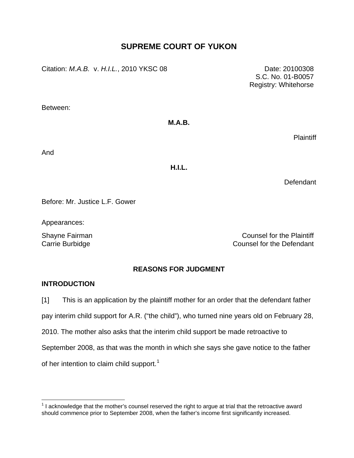# **SUPREME COURT OF YUKON**

Citation: *M.A.B.* v. *H.I.L.*, 2010 YKSC 08 Date: 20100308

Between:

### **M.A.B.**

Plaintiff

 S.C. No. 01-B0057 Registry: Whitehorse

And

**H.I.L.** 

**Defendant** 

Before: Mr. Justice L.F. Gower

Appearances:

Shayne Fairman Counsel for the Plaintiff Carrie Burbidge Carrie Burbidge Counsel for the Defendant

## **REASONS FOR JUDGMENT**

## **INTRODUCTION**

 $\overline{a}$ 

[1] This is an application by the plaintiff mother for an order that the defendant father

pay interim child support for A.R. ("the child"), who turned nine years old on February 28,

2010. The mother also asks that the interim child support be made retroactive to

September 2008, as that was the month in which she says she gave notice to the father

of her intention to claim child support.<sup>[1](#page-0-0)</sup>

<span id="page-0-0"></span> $1$  I acknowledge that the mother's counsel reserved the right to argue at trial that the retroactive award should commence prior to September 2008, when the father's income first significantly increased.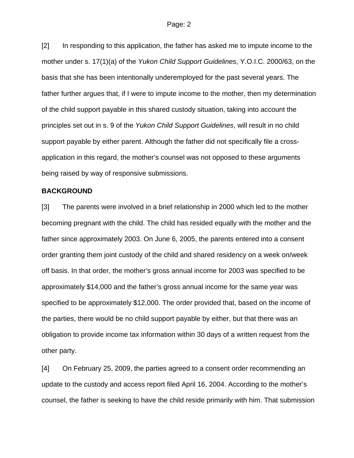[2] In responding to this application, the father has asked me to impute income to the mother under s. 17(1)(a) of the *Yukon Child Support Guidelines*, Y.O.I.C. 2000/63, on the basis that she has been intentionally underemployed for the past several years. The father further argues that, if I were to impute income to the mother, then my determination of the child support payable in this shared custody situation, taking into account the principles set out in s. 9 of the *Yukon Child Support Guidelines*, will result in no child support payable by either parent. Although the father did not specifically file a crossapplication in this regard, the mother's counsel was not opposed to these arguments being raised by way of responsive submissions.

### **BACKGROUND**

[3] The parents were involved in a brief relationship in 2000 which led to the mother becoming pregnant with the child. The child has resided equally with the mother and the father since approximately 2003. On June 6, 2005, the parents entered into a consent order granting them joint custody of the child and shared residency on a week on/week off basis. In that order, the mother's gross annual income for 2003 was specified to be approximately \$14,000 and the father's gross annual income for the same year was specified to be approximately \$12,000. The order provided that, based on the income of the parties, there would be no child support payable by either, but that there was an obligation to provide income tax information within 30 days of a written request from the other party.

[4] On February 25, 2009, the parties agreed to a consent order recommending an update to the custody and access report filed April 16, 2004. According to the mother's counsel, the father is seeking to have the child reside primarily with him. That submission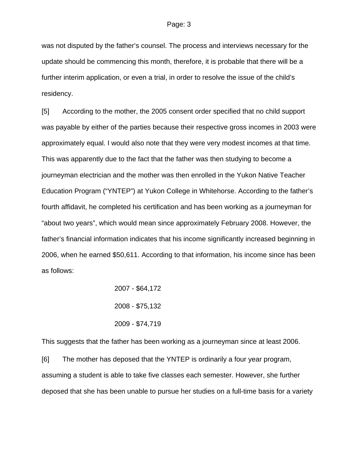was not disputed by the father's counsel. The process and interviews necessary for the update should be commencing this month, therefore, it is probable that there will be a further interim application, or even a trial, in order to resolve the issue of the child's residency.

[5] According to the mother, the 2005 consent order specified that no child support was payable by either of the parties because their respective gross incomes in 2003 were approximately equal. I would also note that they were very modest incomes at that time. This was apparently due to the fact that the father was then studying to become a journeyman electrician and the mother was then enrolled in the Yukon Native Teacher Education Program ("YNTEP") at Yukon College in Whitehorse. According to the father's fourth affidavit, he completed his certification and has been working as a journeyman for "about two years", which would mean since approximately February 2008. However, the father's financial information indicates that his income significantly increased beginning in 2006, when he earned \$50,611. According to that information, his income since has been as follows:

$$
2007 - $64,172
$$
  
\n
$$
2008 - $75,132
$$
  
\n
$$
2009 - $74,719
$$

This suggests that the father has been working as a journeyman since at least 2006.

[6] The mother has deposed that the YNTEP is ordinarily a four year program, assuming a student is able to take five classes each semester. However, she further deposed that she has been unable to pursue her studies on a full-time basis for a variety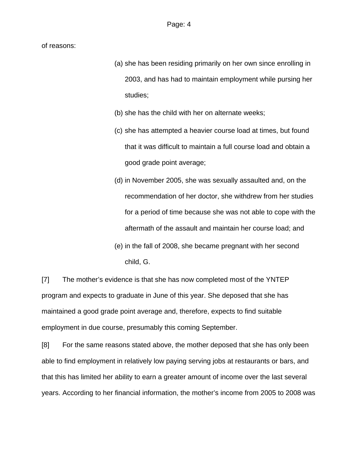of reasons:

- (a) she has been residing primarily on her own since enrolling in 2003, and has had to maintain employment while pursing her studies;
- (b) she has the child with her on alternate weeks;
- (c) she has attempted a heavier course load at times, but found that it was difficult to maintain a full course load and obtain a good grade point average;
- (d) in November 2005, she was sexually assaulted and, on the recommendation of her doctor, she withdrew from her studies for a period of time because she was not able to cope with the aftermath of the assault and maintain her course load; and
- (e) in the fall of 2008, she became pregnant with her second child, G.

[7] The mother's evidence is that she has now completed most of the YNTEP program and expects to graduate in June of this year. She deposed that she has maintained a good grade point average and, therefore, expects to find suitable employment in due course, presumably this coming September.

[8] For the same reasons stated above, the mother deposed that she has only been able to find employment in relatively low paying serving jobs at restaurants or bars, and that this has limited her ability to earn a greater amount of income over the last several years. According to her financial information, the mother's income from 2005 to 2008 was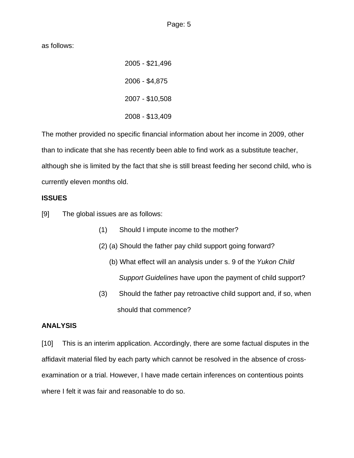as follows:

2005 - \$21,496 2006 - \$4,875 2007 - \$10,508 2008 - \$13,409

The mother provided no specific financial information about her income in 2009, other than to indicate that she has recently been able to find work as a substitute teacher, although she is limited by the fact that she is still breast feeding her second child, who is currently eleven months old.

## **ISSUES**

[9] The global issues are as follows:

- (1) Should I impute income to the mother?
- (2) (a) Should the father pay child support going forward?
	- (b) What effect will an analysis under s. 9 of the *Yukon Child Support Guidelines* have upon the payment of child support?
- (3) Should the father pay retroactive child support and, if so, when should that commence?

## **ANALYSIS**

[10] This is an interim application. Accordingly, there are some factual disputes in the affidavit material filed by each party which cannot be resolved in the absence of crossexamination or a trial. However, I have made certain inferences on contentious points where I felt it was fair and reasonable to do so.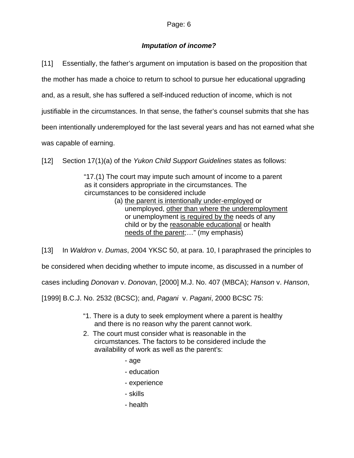## *Imputation of income?*

[11] Essentially, the father's argument on imputation is based on the proposition that the mother has made a choice to return to school to pursue her educational upgrading and, as a result, she has suffered a self-induced reduction of income, which is not justifiable in the circumstances. In that sense, the father's counsel submits that she has been intentionally underemployed for the last several years and has not earned what she was capable of earning.

[12] Section 17(1)(a) of the *Yukon Child Support Guidelines* states as follows:

"17.(1) The court may impute such amount of income to a parent as it considers appropriate in the circumstances. The circumstances to be considered include

(a) the parent is intentionally under-employed or unemployed, other than where the underemployment or unemployment is required by the needs of any child or by the reasonable educational or health needs of the parent;…" (my emphasis)

[13] In *Waldron* v. *Dumas*, 2004 YKSC 50, at para. 10, I paraphrased the principles to

be considered when deciding whether to impute income, as discussed in a number of

cases including *Donovan* v. *Donovan*, [2000] M.J. No. 407 (MBCA); *Hanson* v. *Hanson*,

[1999] B.C.J. No. 2532 (BCSC); and, *Pagani* v. *Pagani*, 2000 BCSC 75:

- "1. There is a duty to seek employment where a parent is healthy and there is no reason why the parent cannot work.
- 2. The court must consider what is reasonable in the circumstances. The factors to be considered include the availability of work as well as the parent's:
	- age
	- education
	- experience
	- skills
	- health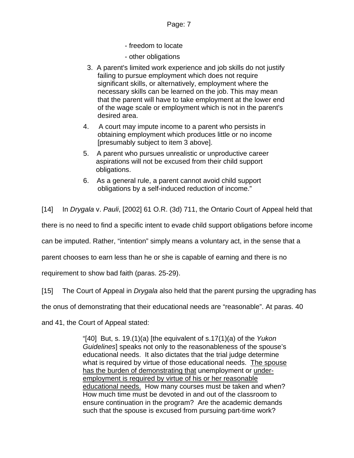- freedom to locate
- other obligations
- 3. A parent's limited work experience and job skills do not justify failing to pursue employment which does not require significant skills, or alternatively, employment where the necessary skills can be learned on the job. This may mean that the parent will have to take employment at the lower end of the wage scale or employment which is not in the parent's desired area.
- 4. A court may impute income to a parent who persists in obtaining employment which produces little or no income [presumably subject to item 3 above].
- 5. A parent who pursues unrealistic or unproductive career aspirations will not be excused from their child support obligations.
- 6. As a general rule, a parent cannot avoid child support obligations by a self-induced reduction of income."

[14] In *Drygala* v. *Pauli*, [2002] 61 O.R. (3d) 711, the Ontario Court of Appeal held that

there is no need to find a specific intent to evade child support obligations before income

can be imputed. Rather, "intention" simply means a voluntary act, in the sense that a

parent chooses to earn less than he or she is capable of earning and there is no

requirement to show bad faith (paras. 25-29).

[15] The Court of Appeal in *Drygala* also held that the parent pursing the upgrading has

the onus of demonstrating that their educational needs are "reasonable". At paras. 40

and 41, the Court of Appeal stated:

"[40] But, s. 19.(1)(a) [the equivalent of s.17(1)(a) of the *Yukon Guidelines*] speaks not only to the reasonableness of the spouse's educational needs. It also dictates that the trial judge determine what is required by virtue of those educational needs. The spouse has the burden of demonstrating that unemployment or underemployment is required by virtue of his or her reasonable educational needs. How many courses must be taken and when? How much time must be devoted in and out of the classroom to ensure continuation in the program? Are the academic demands such that the spouse is excused from pursuing part-time work?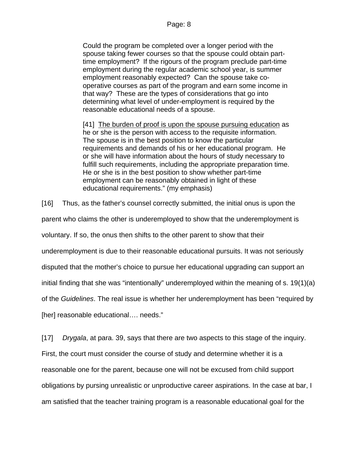Could the program be completed over a longer period with the spouse taking fewer courses so that the spouse could obtain parttime employment? If the rigours of the program preclude part-time employment during the regular academic school year, is summer employment reasonably expected? Can the spouse take cooperative courses as part of the program and earn some income in that way? These are the types of considerations that go into determining what level of under-employment is required by the reasonable educational needs of a spouse.

[41] The burden of proof is upon the spouse pursuing education as he or she is the person with access to the requisite information. The spouse is in the best position to know the particular requirements and demands of his or her educational program. He or she will have information about the hours of study necessary to fulfill such requirements, including the appropriate preparation time. He or she is in the best position to show whether part-time employment can be reasonably obtained in light of these educational requirements." (my emphasis)

[16] Thus, as the father's counsel correctly submitted, the initial onus is upon the

parent who claims the other is underemployed to show that the underemployment is

voluntary. If so, the onus then shifts to the other parent to show that their

underemployment is due to their reasonable educational pursuits. It was not seriously

disputed that the mother's choice to pursue her educational upgrading can support an

initial finding that she was "intentionally" underemployed within the meaning of s. 19(1)(a)

of the *Guidelines*. The real issue is whether her underemployment has been "required by

[her] reasonable educational…. needs."

[17] *Drygala*, at para. 39, says that there are two aspects to this stage of the inquiry.

First, the court must consider the course of study and determine whether it is a reasonable one for the parent, because one will not be excused from child support obligations by pursing unrealistic or unproductive career aspirations. In the case at bar, I am satisfied that the teacher training program is a reasonable educational goal for the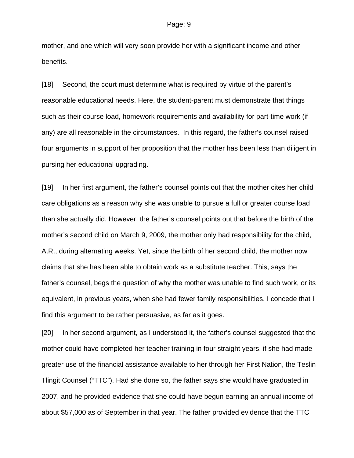mother, and one which will very soon provide her with a significant income and other benefits.

[18] Second, the court must determine what is required by virtue of the parent's reasonable educational needs. Here, the student-parent must demonstrate that things such as their course load, homework requirements and availability for part-time work (if any) are all reasonable in the circumstances. In this regard, the father's counsel raised four arguments in support of her proposition that the mother has been less than diligent in pursing her educational upgrading.

[19] In her first argument, the father's counsel points out that the mother cites her child care obligations as a reason why she was unable to pursue a full or greater course load than she actually did. However, the father's counsel points out that before the birth of the mother's second child on March 9, 2009, the mother only had responsibility for the child, A.R., during alternating weeks. Yet, since the birth of her second child, the mother now claims that she has been able to obtain work as a substitute teacher. This, says the father's counsel, begs the question of why the mother was unable to find such work, or its equivalent, in previous years, when she had fewer family responsibilities. I concede that I find this argument to be rather persuasive, as far as it goes.

[20] In her second argument, as I understood it, the father's counsel suggested that the mother could have completed her teacher training in four straight years, if she had made greater use of the financial assistance available to her through her First Nation, the Teslin Tlingit Counsel ("TTC"). Had she done so, the father says she would have graduated in 2007, and he provided evidence that she could have begun earning an annual income of about \$57,000 as of September in that year. The father provided evidence that the TTC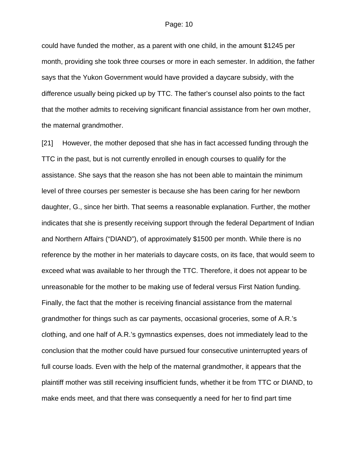could have funded the mother, as a parent with one child, in the amount \$1245 per month, providing she took three courses or more in each semester. In addition, the father says that the Yukon Government would have provided a daycare subsidy, with the difference usually being picked up by TTC. The father's counsel also points to the fact that the mother admits to receiving significant financial assistance from her own mother, the maternal grandmother.

[21] However, the mother deposed that she has in fact accessed funding through the TTC in the past, but is not currently enrolled in enough courses to qualify for the assistance. She says that the reason she has not been able to maintain the minimum level of three courses per semester is because she has been caring for her newborn daughter, G., since her birth. That seems a reasonable explanation. Further, the mother indicates that she is presently receiving support through the federal Department of Indian and Northern Affairs ("DIAND"), of approximately \$1500 per month. While there is no reference by the mother in her materials to daycare costs, on its face, that would seem to exceed what was available to her through the TTC. Therefore, it does not appear to be unreasonable for the mother to be making use of federal versus First Nation funding. Finally, the fact that the mother is receiving financial assistance from the maternal grandmother for things such as car payments, occasional groceries, some of A.R.'s clothing, and one half of A.R.'s gymnastics expenses, does not immediately lead to the conclusion that the mother could have pursued four consecutive uninterrupted years of full course loads. Even with the help of the maternal grandmother, it appears that the plaintiff mother was still receiving insufficient funds, whether it be from TTC or DIAND, to make ends meet, and that there was consequently a need for her to find part time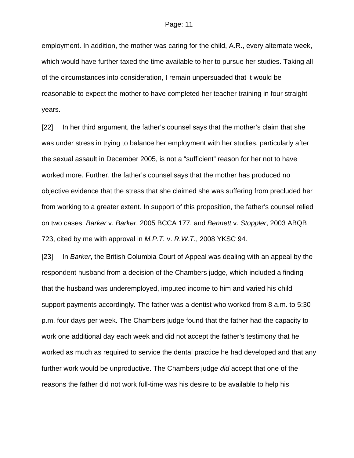employment. In addition, the mother was caring for the child, A.R., every alternate week, which would have further taxed the time available to her to pursue her studies. Taking all of the circumstances into consideration, I remain unpersuaded that it would be reasonable to expect the mother to have completed her teacher training in four straight years.

[22] In her third argument, the father's counsel says that the mother's claim that she was under stress in trying to balance her employment with her studies, particularly after the sexual assault in December 2005, is not a "sufficient" reason for her not to have worked more. Further, the father's counsel says that the mother has produced no objective evidence that the stress that she claimed she was suffering from precluded her from working to a greater extent. In support of this proposition, the father's counsel relied on two cases, *Barker* v. *Barker*, 2005 BCCA 177, and *Bennett* v. *Stoppler*, 2003 ABQB 723, cited by me with approval in *M.P.T.* v. *R.W.T.*, 2008 YKSC 94.

[23] In *Barker*, the British Columbia Court of Appeal was dealing with an appeal by the respondent husband from a decision of the Chambers judge, which included a finding that the husband was underemployed, imputed income to him and varied his child support payments accordingly. The father was a dentist who worked from 8 a.m. to 5:30 p.m. four days per week. The Chambers judge found that the father had the capacity to work one additional day each week and did not accept the father's testimony that he worked as much as required to service the dental practice he had developed and that any further work would be unproductive. The Chambers judge *did* accept that one of the reasons the father did not work full-time was his desire to be available to help his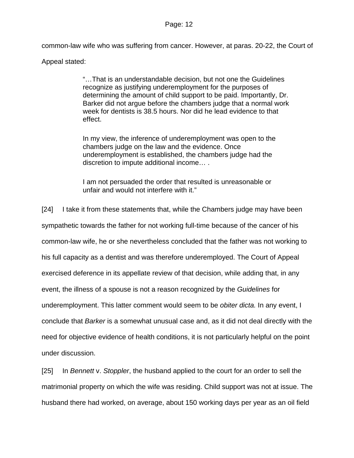common-law wife who was suffering from cancer. However, at paras. 20-22, the Court of

Appeal stated:

"…That is an understandable decision, but not one the Guidelines recognize as justifying underemployment for the purposes of determining the amount of child support to be paid. Importantly, Dr. Barker did not argue before the chambers judge that a normal work week for dentists is 38.5 hours. Nor did he lead evidence to that effect.

In my view, the inference of underemployment was open to the chambers judge on the law and the evidence. Once underemployment is established, the chambers judge had the discretion to impute additional income… .

I am not persuaded the order that resulted is unreasonable or unfair and would not interfere with it."

[24] I take it from these statements that, while the Chambers judge may have been sympathetic towards the father for not working full-time because of the cancer of his common-law wife, he or she nevertheless concluded that the father was not working to his full capacity as a dentist and was therefore underemployed. The Court of Appeal exercised deference in its appellate review of that decision, while adding that, in any event, the illness of a spouse is not a reason recognized by the *Guidelines* for underemployment. This latter comment would seem to be *obiter dicta.* In any event, I conclude that *Barker* is a somewhat unusual case and, as it did not deal directly with the need for objective evidence of health conditions, it is not particularly helpful on the point under discussion.

[25] In *Bennett* v. *Stoppler*, the husband applied to the court for an order to sell the matrimonial property on which the wife was residing. Child support was not at issue. The husband there had worked, on average, about 150 working days per year as an oil field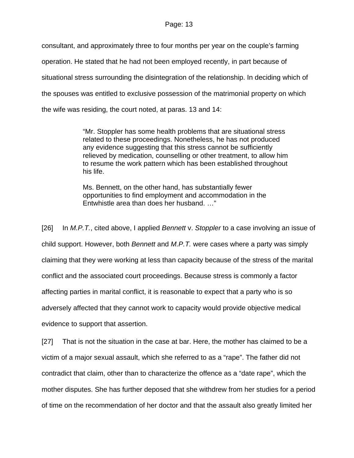consultant, and approximately three to four months per year on the couple's farming operation. He stated that he had not been employed recently, in part because of situational stress surrounding the disintegration of the relationship. In deciding which of the spouses was entitled to exclusive possession of the matrimonial property on which the wife was residing, the court noted, at paras. 13 and 14:

> "Mr. Stoppler has some health problems that are situational stress related to these proceedings. Nonetheless, he has not produced any evidence suggesting that this stress cannot be sufficiently relieved by medication, counselling or other treatment, to allow him to resume the work pattern which has been established throughout his life.

Ms. Bennett, on the other hand, has substantially fewer opportunities to find employment and accommodation in the Entwhistle area than does her husband. …"

[26] In *M.P.T.*, cited above, I applied *Bennett* v. *Stoppler* to a case involving an issue of child support. However, both *Bennett* and *M.P.T.* were cases where a party was simply claiming that they were working at less than capacity because of the stress of the marital conflict and the associated court proceedings. Because stress is commonly a factor affecting parties in marital conflict, it is reasonable to expect that a party who is so adversely affected that they cannot work to capacity would provide objective medical evidence to support that assertion.

[27] That is not the situation in the case at bar. Here, the mother has claimed to be a victim of a major sexual assault, which she referred to as a "rape". The father did not contradict that claim, other than to characterize the offence as a "date rape", which the mother disputes. She has further deposed that she withdrew from her studies for a period of time on the recommendation of her doctor and that the assault also greatly limited her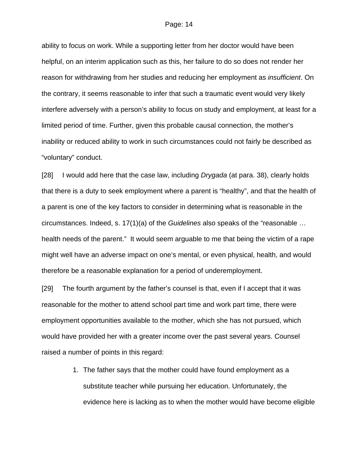ability to focus on work. While a supporting letter from her doctor would have been helpful, on an interim application such as this, her failure to do so does not render her reason for withdrawing from her studies and reducing her employment as *insufficient*. On the contrary, it seems reasonable to infer that such a traumatic event would very likely interfere adversely with a person's ability to focus on study and employment, at least for a limited period of time. Further, given this probable causal connection, the mother's inability or reduced ability to work in such circumstances could not fairly be described as "voluntary" conduct.

[28] I would add here that the case law, including *Drygada* (at para. 38), clearly holds that there is a duty to seek employment where a parent is "healthy", and that the health of a parent is one of the key factors to consider in determining what is reasonable in the circumstances. Indeed, s. 17(1)(a) of the *Guidelines* also speaks of the "reasonable … health needs of the parent." It would seem arguable to me that being the victim of a rape might well have an adverse impact on one's mental, or even physical, health, and would therefore be a reasonable explanation for a period of underemployment.

[29] The fourth argument by the father's counsel is that, even if I accept that it was reasonable for the mother to attend school part time and work part time, there were employment opportunities available to the mother, which she has not pursued, which would have provided her with a greater income over the past several years. Counsel raised a number of points in this regard:

> 1. The father says that the mother could have found employment as a substitute teacher while pursuing her education. Unfortunately, the evidence here is lacking as to when the mother would have become eligible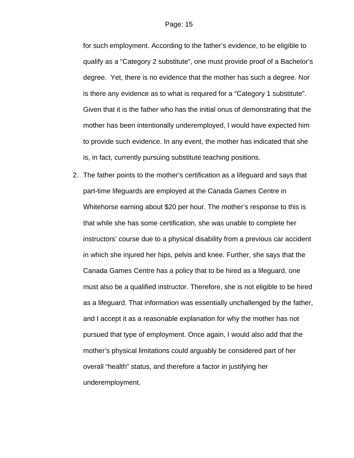for such employment. According to the father's evidence, to be eligible to qualify as a "Category 2 substitute", one must provide proof of a Bachelor's degree. Yet, there is no evidence that the mother has such a degree. Nor is there any evidence as to what is required for a "Category 1 substitute". Given that it is the father who has the initial onus of demonstrating that the mother has been intentionally underemployed, I would have expected him to provide such evidence. In any event, the mother has indicated that she is, in fact, currently pursuing substitute teaching positions.

2. The father points to the mother's certification as a lifeguard and says that part-time lifeguards are employed at the Canada Games Centre in Whitehorse earning about \$20 per hour. The mother's response to this is that while she has some certification, she was unable to complete her instructors' course due to a physical disability from a previous car accident in which she injured her hips, pelvis and knee. Further, she says that the Canada Games Centre has a policy that to be hired as a lifeguard, one must also be a qualified instructor. Therefore, she is not eligible to be hired as a lifeguard. That information was essentially unchallenged by the father, and I accept it as a reasonable explanation for why the mother has not pursued that type of employment. Once again, I would also add that the mother's physical limitations could arguably be considered part of her overall "health" status, and therefore a factor in justifying her underemployment.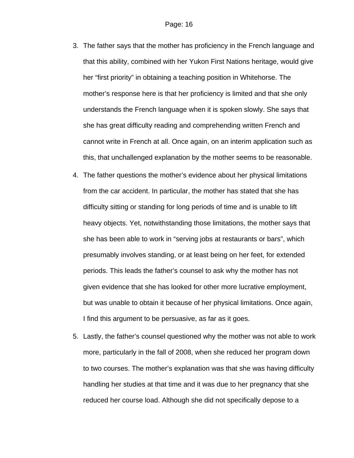- 3. The father says that the mother has proficiency in the French language and that this ability, combined with her Yukon First Nations heritage, would give her "first priority" in obtaining a teaching position in Whitehorse. The mother's response here is that her proficiency is limited and that she only understands the French language when it is spoken slowly. She says that she has great difficulty reading and comprehending written French and cannot write in French at all. Once again, on an interim application such as this, that unchallenged explanation by the mother seems to be reasonable.
- 4. The father questions the mother's evidence about her physical limitations from the car accident. In particular, the mother has stated that she has difficulty sitting or standing for long periods of time and is unable to lift heavy objects. Yet, notwithstanding those limitations, the mother says that she has been able to work in "serving jobs at restaurants or bars", which presumably involves standing, or at least being on her feet, for extended periods. This leads the father's counsel to ask why the mother has not given evidence that she has looked for other more lucrative employment, but was unable to obtain it because of her physical limitations. Once again, I find this argument to be persuasive, as far as it goes.
- 5. Lastly, the father's counsel questioned why the mother was not able to work more, particularly in the fall of 2008, when she reduced her program down to two courses. The mother's explanation was that she was having difficulty handling her studies at that time and it was due to her pregnancy that she reduced her course load. Although she did not specifically depose to a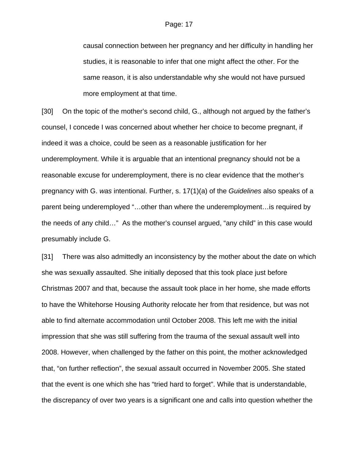causal connection between her pregnancy and her difficulty in handling her studies, it is reasonable to infer that one might affect the other. For the same reason, it is also understandable why she would not have pursued more employment at that time.

[30] On the topic of the mother's second child, G., although not argued by the father's counsel, I concede I was concerned about whether her choice to become pregnant, if indeed it was a choice, could be seen as a reasonable justification for her underemployment. While it is arguable that an intentional pregnancy should not be a reasonable excuse for underemployment, there is no clear evidence that the mother's pregnancy with G. *was* intentional. Further, s. 17(1)(a) of the *Guidelines* also speaks of a parent being underemployed "…other than where the underemployment…is required by the needs of any child…" As the mother's counsel argued, "any child" in this case would presumably include G.

[31] There was also admittedly an inconsistency by the mother about the date on which she was sexually assaulted. She initially deposed that this took place just before Christmas 2007 and that, because the assault took place in her home, she made efforts to have the Whitehorse Housing Authority relocate her from that residence, but was not able to find alternate accommodation until October 2008. This left me with the initial impression that she was still suffering from the trauma of the sexual assault well into 2008. However, when challenged by the father on this point, the mother acknowledged that, "on further reflection", the sexual assault occurred in November 2005. She stated that the event is one which she has "tried hard to forget". While that is understandable, the discrepancy of over two years is a significant one and calls into question whether the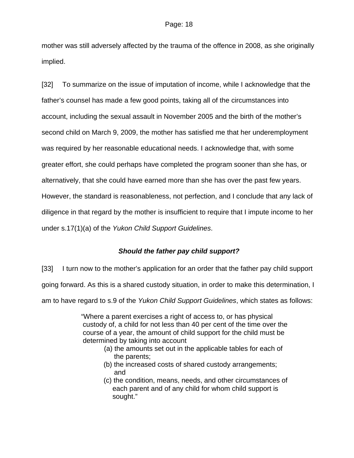mother was still adversely affected by the trauma of the offence in 2008, as she originally implied.

[32] To summarize on the issue of imputation of income, while I acknowledge that the father's counsel has made a few good points, taking all of the circumstances into account, including the sexual assault in November 2005 and the birth of the mother's second child on March 9, 2009, the mother has satisfied me that her underemployment was required by her reasonable educational needs. I acknowledge that, with some greater effort, she could perhaps have completed the program sooner than she has, or alternatively, that she could have earned more than she has over the past few years. However, the standard is reasonableness, not perfection, and I conclude that any lack of diligence in that regard by the mother is insufficient to require that I impute income to her under s.17(1)(a) of the *Yukon Child Support Guidelines*.

## *Should the father pay child support?*

[33] I turn now to the mother's application for an order that the father pay child support going forward. As this is a shared custody situation, in order to make this determination, I am to have regard to s.9 of the *Yukon Child Support Guidelines*, which states as follows:

> "Where a parent exercises a right of access to, or has physical custody of, a child for not less than 40 per cent of the time over the course of a year, the amount of child support for the child must be determined by taking into account

- (a) the amounts set out in the applicable tables for each of the parents;
- (b) the increased costs of shared custody arrangements; and
- (c) the condition, means, needs, and other circumstances of each parent and of any child for whom child support is sought."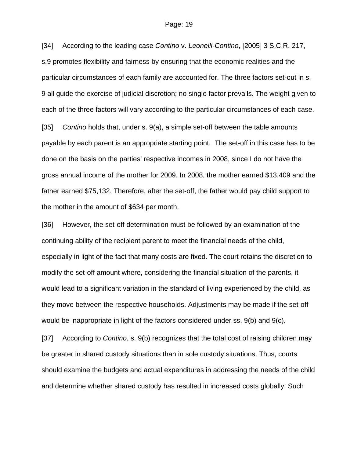[34] According to the leading case *Contino* v. *Leonelli-Contino*, [2005] 3 S.C.R. 217, s.9 promotes flexibility and fairness by ensuring that the economic realities and the particular circumstances of each family are accounted for. The three factors set-out in s. 9 all guide the exercise of judicial discretion; no single factor prevails. The weight given to each of the three factors will vary according to the particular circumstances of each case.

[35] *Contino* holds that, under s. 9(a), a simple set-off between the table amounts payable by each parent is an appropriate starting point. The set-off in this case has to be done on the basis on the parties' respective incomes in 2008, since I do not have the gross annual income of the mother for 2009. In 2008, the mother earned \$13,409 and the father earned \$75,132. Therefore, after the set-off, the father would pay child support to the mother in the amount of \$634 per month.

[36] However, the set-off determination must be followed by an examination of the continuing ability of the recipient parent to meet the financial needs of the child, especially in light of the fact that many costs are fixed. The court retains the discretion to modify the set-off amount where, considering the financial situation of the parents, it would lead to a significant variation in the standard of living experienced by the child, as they move between the respective households. Adjustments may be made if the set-off would be inappropriate in light of the factors considered under ss. 9(b) and 9(c).

[37] According to *Contino*, s. 9(b) recognizes that the total cost of raising children may be greater in shared custody situations than in sole custody situations. Thus, courts should examine the budgets and actual expenditures in addressing the needs of the child and determine whether shared custody has resulted in increased costs globally. Such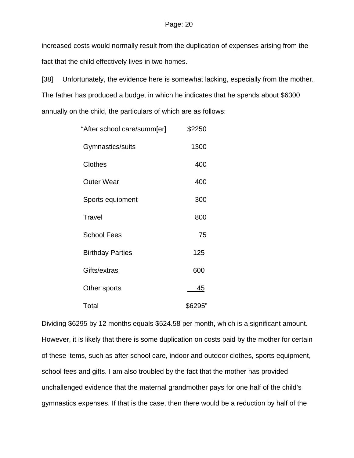increased costs would normally result from the duplication of expenses arising from the fact that the child effectively lives in two homes.

[38] Unfortunately, the evidence here is somewhat lacking, especially from the mother. The father has produced a budget in which he indicates that he spends about \$6300 annually on the child, the particulars of which are as follows:

| "After school care/summ[er] | \$2250    |
|-----------------------------|-----------|
| Gymnastics/suits            | 1300      |
| Clothes                     | 400       |
| <b>Outer Wear</b>           | 400       |
| Sports equipment            | 300       |
| Travel                      | 800       |
| <b>School Fees</b>          | 75        |
| <b>Birthday Parties</b>     | 125       |
| Gifts/extras                | 600       |
| Other sports                | <u>45</u> |
| Total                       | \$6295"   |

Dividing \$6295 by 12 months equals \$524.58 per month, which is a significant amount. However, it is likely that there is some duplication on costs paid by the mother for certain of these items, such as after school care, indoor and outdoor clothes, sports equipment, school fees and gifts. I am also troubled by the fact that the mother has provided unchallenged evidence that the maternal grandmother pays for one half of the child's gymnastics expenses. If that is the case, then there would be a reduction by half of the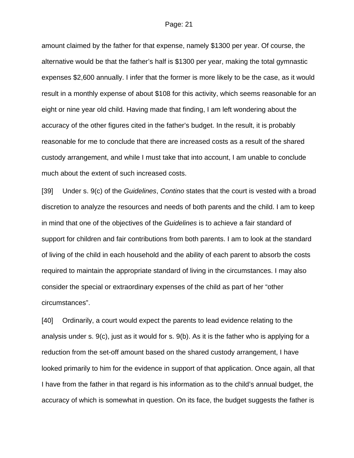amount claimed by the father for that expense, namely \$1300 per year. Of course, the alternative would be that the father's half is \$1300 per year, making the total gymnastic expenses \$2,600 annually. I infer that the former is more likely to be the case, as it would result in a monthly expense of about \$108 for this activity, which seems reasonable for an eight or nine year old child. Having made that finding, I am left wondering about the accuracy of the other figures cited in the father's budget. In the result, it is probably reasonable for me to conclude that there are increased costs as a result of the shared custody arrangement, and while I must take that into account, I am unable to conclude much about the extent of such increased costs.

[39] Under s. 9(c) of the *Guidelines*, *Contino* states that the court is vested with a broad discretion to analyze the resources and needs of both parents and the child. I am to keep in mind that one of the objectives of the *Guidelines* is to achieve a fair standard of support for children and fair contributions from both parents. I am to look at the standard of living of the child in each household and the ability of each parent to absorb the costs required to maintain the appropriate standard of living in the circumstances. I may also consider the special or extraordinary expenses of the child as part of her "other circumstances".

[40] Ordinarily, a court would expect the parents to lead evidence relating to the analysis under s. 9(c), just as it would for s. 9(b). As it is the father who is applying for a reduction from the set-off amount based on the shared custody arrangement, I have looked primarily to him for the evidence in support of that application. Once again, all that I have from the father in that regard is his information as to the child's annual budget, the accuracy of which is somewhat in question. On its face, the budget suggests the father is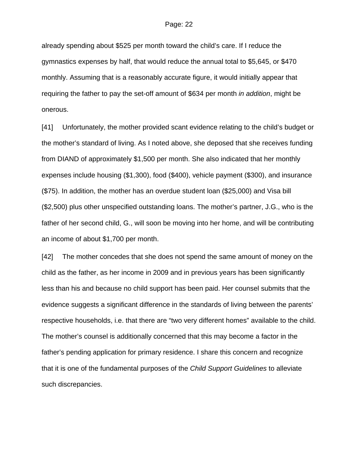already spending about \$525 per month toward the child's care. If I reduce the gymnastics expenses by half, that would reduce the annual total to \$5,645, or \$470 monthly. Assuming that is a reasonably accurate figure, it would initially appear that requiring the father to pay the set-off amount of \$634 per month *in addition*, might be onerous.

[41] Unfortunately, the mother provided scant evidence relating to the child's budget or the mother's standard of living. As I noted above, she deposed that she receives funding from DIAND of approximately \$1,500 per month. She also indicated that her monthly expenses include housing (\$1,300), food (\$400), vehicle payment (\$300), and insurance (\$75). In addition, the mother has an overdue student loan (\$25,000) and Visa bill (\$2,500) plus other unspecified outstanding loans. The mother's partner, J.G., who is the father of her second child, G., will soon be moving into her home, and will be contributing an income of about \$1,700 per month.

[42] The mother concedes that she does not spend the same amount of money on the child as the father, as her income in 2009 and in previous years has been significantly less than his and because no child support has been paid. Her counsel submits that the evidence suggests a significant difference in the standards of living between the parents' respective households, i.e. that there are "two very different homes" available to the child. The mother's counsel is additionally concerned that this may become a factor in the father's pending application for primary residence. I share this concern and recognize that it is one of the fundamental purposes of the *Child Support Guidelines* to alleviate such discrepancies.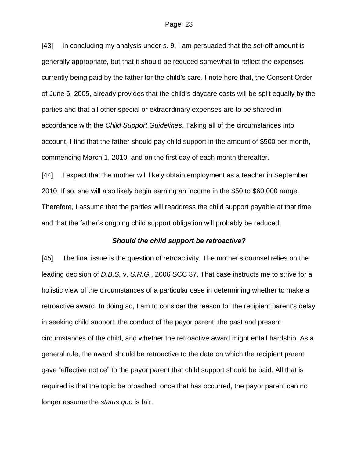[43] In concluding my analysis under s. 9, I am persuaded that the set-off amount is generally appropriate, but that it should be reduced somewhat to reflect the expenses currently being paid by the father for the child's care. I note here that, the Consent Order of June 6, 2005, already provides that the child's daycare costs will be split equally by the parties and that all other special or extraordinary expenses are to be shared in accordance with the *Child Support Guidelines*. Taking all of the circumstances into account, I find that the father should pay child support in the amount of \$500 per month, commencing March 1, 2010, and on the first day of each month thereafter.

[44] I expect that the mother will likely obtain employment as a teacher in September 2010. If so, she will also likely begin earning an income in the \$50 to \$60,000 range. Therefore, I assume that the parties will readdress the child support payable at that time, and that the father's ongoing child support obligation will probably be reduced.

### *Should the child support be retroactive?*

[45] The final issue is the question of retroactivity. The mother's counsel relies on the leading decision of *D.B.S.* v. *S.R.G.*, 2006 SCC 37. That case instructs me to strive for a holistic view of the circumstances of a particular case in determining whether to make a retroactive award. In doing so, I am to consider the reason for the recipient parent's delay in seeking child support, the conduct of the payor parent, the past and present circumstances of the child, and whether the retroactive award might entail hardship. As a general rule, the award should be retroactive to the date on which the recipient parent gave "effective notice" to the payor parent that child support should be paid. All that is required is that the topic be broached; once that has occurred, the payor parent can no longer assume the *status quo* is fair.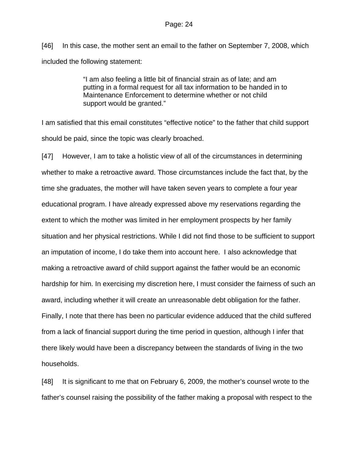[46] In this case, the mother sent an email to the father on September 7, 2008, which included the following statement:

> "I am also feeling a little bit of financial strain as of late; and am putting in a formal request for all tax information to be handed in to Maintenance Enforcement to determine whether or not child support would be granted."

I am satisfied that this email constitutes "effective notice" to the father that child support should be paid, since the topic was clearly broached.

[47] However, I am to take a holistic view of all of the circumstances in determining whether to make a retroactive award. Those circumstances include the fact that, by the time she graduates, the mother will have taken seven years to complete a four year educational program. I have already expressed above my reservations regarding the extent to which the mother was limited in her employment prospects by her family situation and her physical restrictions. While I did not find those to be sufficient to support an imputation of income, I do take them into account here. I also acknowledge that making a retroactive award of child support against the father would be an economic hardship for him. In exercising my discretion here, I must consider the fairness of such an award, including whether it will create an unreasonable debt obligation for the father. Finally, I note that there has been no particular evidence adduced that the child suffered from a lack of financial support during the time period in question, although I infer that there likely would have been a discrepancy between the standards of living in the two households.

[48] It is significant to me that on February 6, 2009, the mother's counsel wrote to the father's counsel raising the possibility of the father making a proposal with respect to the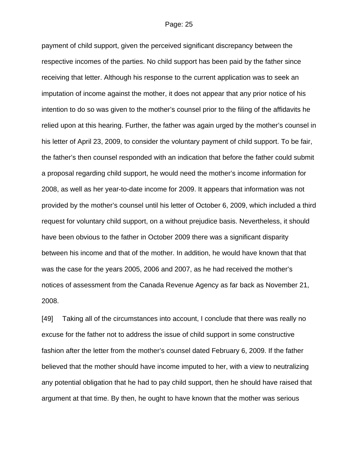payment of child support, given the perceived significant discrepancy between the respective incomes of the parties. No child support has been paid by the father since receiving that letter. Although his response to the current application was to seek an imputation of income against the mother, it does not appear that any prior notice of his intention to do so was given to the mother's counsel prior to the filing of the affidavits he relied upon at this hearing. Further, the father was again urged by the mother's counsel in his letter of April 23, 2009, to consider the voluntary payment of child support. To be fair, the father's then counsel responded with an indication that before the father could submit a proposal regarding child support, he would need the mother's income information for 2008, as well as her year-to-date income for 2009. It appears that information was not provided by the mother's counsel until his letter of October 6, 2009, which included a third request for voluntary child support, on a without prejudice basis. Nevertheless, it should have been obvious to the father in October 2009 there was a significant disparity between his income and that of the mother. In addition, he would have known that that was the case for the years 2005, 2006 and 2007, as he had received the mother's notices of assessment from the Canada Revenue Agency as far back as November 21, 2008.

[49] Taking all of the circumstances into account, I conclude that there was really no excuse for the father not to address the issue of child support in some constructive fashion after the letter from the mother's counsel dated February 6, 2009. If the father believed that the mother should have income imputed to her, with a view to neutralizing any potential obligation that he had to pay child support, then he should have raised that argument at that time. By then, he ought to have known that the mother was serious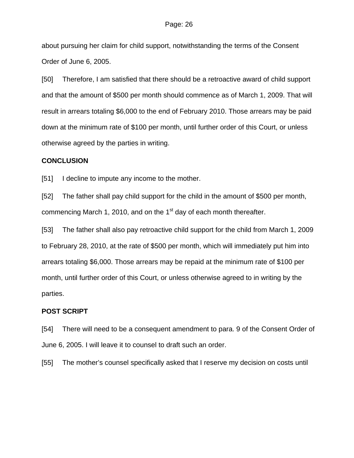about pursuing her claim for child support, notwithstanding the terms of the Consent Order of June 6, 2005.

[50] Therefore, I am satisfied that there should be a retroactive award of child support and that the amount of \$500 per month should commence as of March 1, 2009. That will result in arrears totaling \$6,000 to the end of February 2010. Those arrears may be paid down at the minimum rate of \$100 per month, until further order of this Court, or unless otherwise agreed by the parties in writing.

### **CONCLUSION**

[51] I decline to impute any income to the mother.

[52] The father shall pay child support for the child in the amount of \$500 per month, commencing March 1, 2010, and on the  $1<sup>st</sup>$  day of each month thereafter.

[53] The father shall also pay retroactive child support for the child from March 1, 2009 to February 28, 2010, at the rate of \$500 per month, which will immediately put him into arrears totaling \$6,000. Those arrears may be repaid at the minimum rate of \$100 per month, until further order of this Court, or unless otherwise agreed to in writing by the parties.

### **POST SCRIPT**

[54] There will need to be a consequent amendment to para. 9 of the Consent Order of June 6, 2005. I will leave it to counsel to draft such an order.

[55] The mother's counsel specifically asked that I reserve my decision on costs until